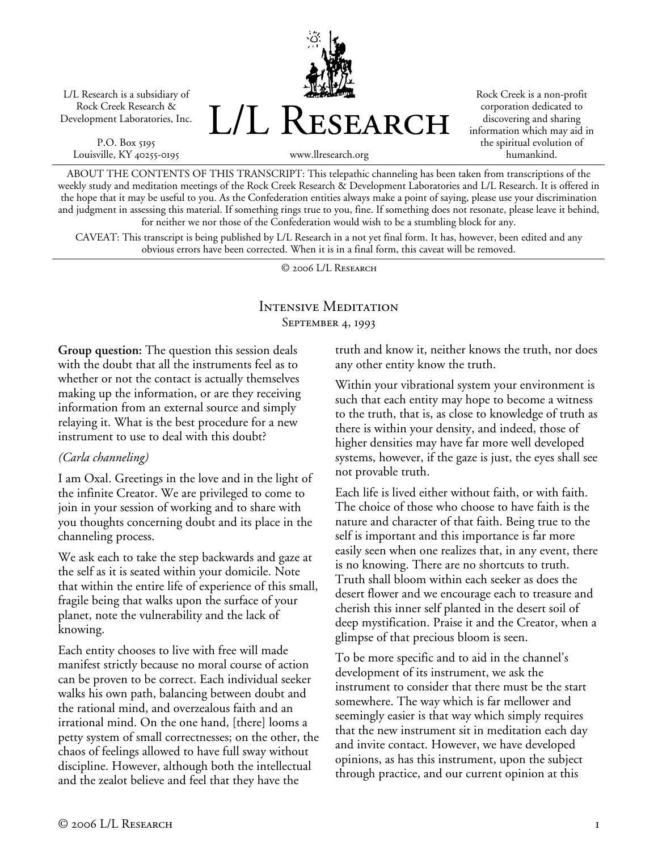L/L Research is a subsidiary of Rock Creek Research & Development Laboratories, Inc.

P.O. Box 5195 Louisville, KY 40255-0195 L/L Research

Rock Creek is a non-profit corporation dedicated to discovering and sharing information which may aid in the spiritual evolution of humankind.

www.llresearch.org

ABOUT THE CONTENTS OF THIS TRANSCRIPT: This telepathic channeling has been taken from transcriptions of the weekly study and meditation meetings of the Rock Creek Research & Development Laboratories and L/L Research. It is offered in the hope that it may be useful to you. As the Confederation entities always make a point of saying, please use your discrimination and judgment in assessing this material. If something rings true to you, fine. If something does not resonate, please leave it behind, for neither we nor those of the Confederation would wish to be a stumbling block for any.

CAVEAT: This transcript is being published by L/L Research in a not yet final form. It has, however, been edited and any obvious errors have been corrected. When it is in a final form, this caveat will be removed.

© 2006 L/L Research

### Intensive Meditation SEPTEMBER 4, 1993

**Group question:** The question this session deals with the doubt that all the instruments feel as to whether or not the contact is actually themselves making up the information, or are they receiving information from an external source and simply relaying it. What is the best procedure for a new instrument to use to deal with this doubt?

#### *(Carla channeling)*

I am Oxal. Greetings in the love and in the light of the infinite Creator. We are privileged to come to join in your session of working and to share with you thoughts concerning doubt and its place in the channeling process.

We ask each to take the step backwards and gaze at the self as it is seated within your domicile. Note that within the entire life of experience of this small, fragile being that walks upon the surface of your planet, note the vulnerability and the lack of knowing.

Each entity chooses to live with free will made manifest strictly because no moral course of action can be proven to be correct. Each individual seeker walks his own path, balancing between doubt and the rational mind, and overzealous faith and an irrational mind. On the one hand, [there] looms a petty system of small correctnesses; on the other, the chaos of feelings allowed to have full sway without discipline. However, although both the intellectual and the zealot believe and feel that they have the

truth and know it, neither knows the truth, nor does any other entity know the truth.

Within your vibrational system your environment is such that each entity may hope to become a witness to the truth, that is, as close to knowledge of truth as there is within your density, and indeed, those of higher densities may have far more well developed systems, however, if the gaze is just, the eyes shall see not provable truth.

Each life is lived either without faith, or with faith. The choice of those who choose to have faith is the nature and character of that faith. Being true to the self is important and this importance is far more easily seen when one realizes that, in any event, there is no knowing. There are no shortcuts to truth. Truth shall bloom within each seeker as does the desert flower and we encourage each to treasure and cherish this inner self planted in the desert soil of deep mystification. Praise it and the Creator, when a glimpse of that precious bloom is seen.

To be more specific and to aid in the channel's development of its instrument, we ask the instrument to consider that there must be the start somewhere. The way which is far mellower and seemingly easier is that way which simply requires that the new instrument sit in meditation each day and invite contact. However, we have developed opinions, as has this instrument, upon the subject through practice, and our current opinion at this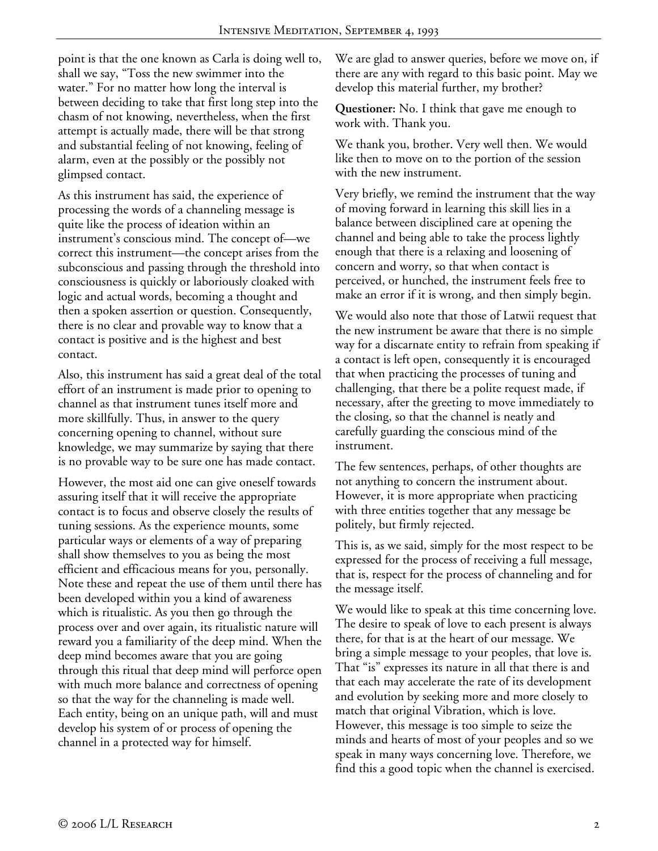point is that the one known as Carla is doing well to, shall we say, "Toss the new swimmer into the water." For no matter how long the interval is between deciding to take that first long step into the chasm of not knowing, nevertheless, when the first attempt is actually made, there will be that strong and substantial feeling of not knowing, feeling of alarm, even at the possibly or the possibly not glimpsed contact.

As this instrument has said, the experience of processing the words of a channeling message is quite like the process of ideation within an instrument's conscious mind. The concept of—we correct this instrument—the concept arises from the subconscious and passing through the threshold into consciousness is quickly or laboriously cloaked with logic and actual words, becoming a thought and then a spoken assertion or question. Consequently, there is no clear and provable way to know that a contact is positive and is the highest and best contact.

Also, this instrument has said a great deal of the total effort of an instrument is made prior to opening to channel as that instrument tunes itself more and more skillfully. Thus, in answer to the query concerning opening to channel, without sure knowledge, we may summarize by saying that there is no provable way to be sure one has made contact.

However, the most aid one can give oneself towards assuring itself that it will receive the appropriate contact is to focus and observe closely the results of tuning sessions. As the experience mounts, some particular ways or elements of a way of preparing shall show themselves to you as being the most efficient and efficacious means for you, personally. Note these and repeat the use of them until there has been developed within you a kind of awareness which is ritualistic. As you then go through the process over and over again, its ritualistic nature will reward you a familiarity of the deep mind. When the deep mind becomes aware that you are going through this ritual that deep mind will perforce open with much more balance and correctness of opening so that the way for the channeling is made well. Each entity, being on an unique path, will and must develop his system of or process of opening the channel in a protected way for himself.

We are glad to answer queries, before we move on, if there are any with regard to this basic point. May we develop this material further, my brother?

**Questioner:** No. I think that gave me enough to work with. Thank you.

We thank you, brother. Very well then. We would like then to move on to the portion of the session with the new instrument.

Very briefly, we remind the instrument that the way of moving forward in learning this skill lies in a balance between disciplined care at opening the channel and being able to take the process lightly enough that there is a relaxing and loosening of concern and worry, so that when contact is perceived, or hunched, the instrument feels free to make an error if it is wrong, and then simply begin.

We would also note that those of Latwii request that the new instrument be aware that there is no simple way for a discarnate entity to refrain from speaking if a contact is left open, consequently it is encouraged that when practicing the processes of tuning and challenging, that there be a polite request made, if necessary, after the greeting to move immediately to the closing, so that the channel is neatly and carefully guarding the conscious mind of the instrument.

The few sentences, perhaps, of other thoughts are not anything to concern the instrument about. However, it is more appropriate when practicing with three entities together that any message be politely, but firmly rejected.

This is, as we said, simply for the most respect to be expressed for the process of receiving a full message, that is, respect for the process of channeling and for the message itself.

We would like to speak at this time concerning love. The desire to speak of love to each present is always there, for that is at the heart of our message. We bring a simple message to your peoples, that love is. That "is" expresses its nature in all that there is and that each may accelerate the rate of its development and evolution by seeking more and more closely to match that original Vibration, which is love. However, this message is too simple to seize the minds and hearts of most of your peoples and so we speak in many ways concerning love. Therefore, we find this a good topic when the channel is exercised.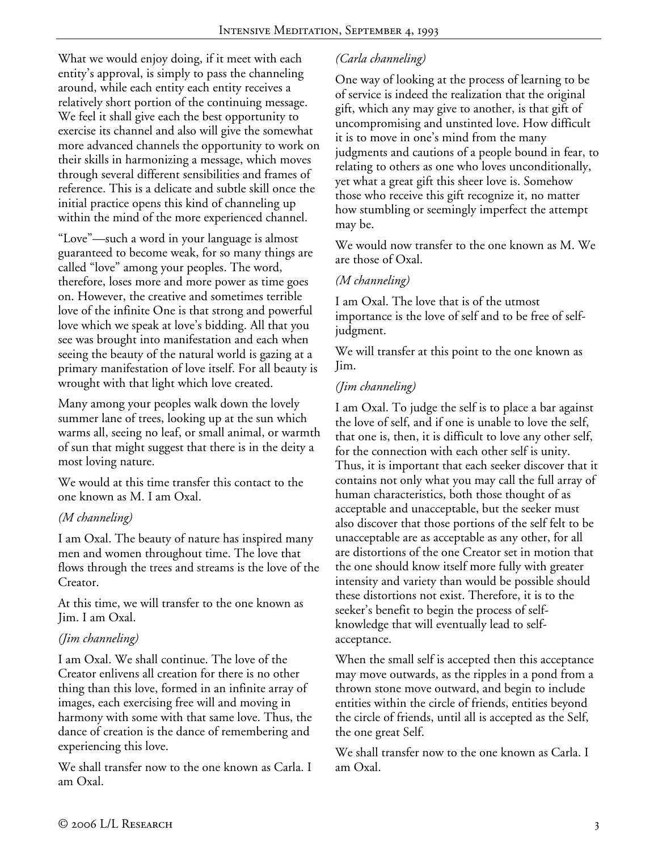What we would enjoy doing, if it meet with each entity's approval, is simply to pass the channeling around, while each entity each entity receives a relatively short portion of the continuing message. We feel it shall give each the best opportunity to exercise its channel and also will give the somewhat more advanced channels the opportunity to work on their skills in harmonizing a message, which moves through several different sensibilities and frames of reference. This is a delicate and subtle skill once the initial practice opens this kind of channeling up within the mind of the more experienced channel.

"Love"—such a word in your language is almost guaranteed to become weak, for so many things are called "love" among your peoples. The word, therefore, loses more and more power as time goes on. However, the creative and sometimes terrible love of the infinite One is that strong and powerful love which we speak at love's bidding. All that you see was brought into manifestation and each when seeing the beauty of the natural world is gazing at a primary manifestation of love itself. For all beauty is wrought with that light which love created.

Many among your peoples walk down the lovely summer lane of trees, looking up at the sun which warms all, seeing no leaf, or small animal, or warmth of sun that might suggest that there is in the deity a most loving nature.

We would at this time transfer this contact to the one known as M. I am Oxal.

## *(M channeling)*

I am Oxal. The beauty of nature has inspired many men and women throughout time. The love that flows through the trees and streams is the love of the Creator.

At this time, we will transfer to the one known as Jim. I am Oxal.

## *(Jim channeling)*

I am Oxal. We shall continue. The love of the Creator enlivens all creation for there is no other thing than this love, formed in an infinite array of images, each exercising free will and moving in harmony with some with that same love. Thus, the dance of creation is the dance of remembering and experiencing this love.

We shall transfer now to the one known as Carla. I am Oxal.

# *(Carla channeling)*

One way of looking at the process of learning to be of service is indeed the realization that the original gift, which any may give to another, is that gift of uncompromising and unstinted love. How difficult it is to move in one's mind from the many judgments and cautions of a people bound in fear, to relating to others as one who loves unconditionally, yet what a great gift this sheer love is. Somehow those who receive this gift recognize it, no matter how stumbling or seemingly imperfect the attempt may be.

We would now transfer to the one known as M. We are those of Oxal.

### *(M channeling)*

I am Oxal. The love that is of the utmost importance is the love of self and to be free of selfjudgment.

We will transfer at this point to the one known as Jim.

### *(Jim channeling)*

I am Oxal. To judge the self is to place a bar against the love of self, and if one is unable to love the self, that one is, then, it is difficult to love any other self, for the connection with each other self is unity. Thus, it is important that each seeker discover that it contains not only what you may call the full array of human characteristics, both those thought of as acceptable and unacceptable, but the seeker must also discover that those portions of the self felt to be unacceptable are as acceptable as any other, for all are distortions of the one Creator set in motion that the one should know itself more fully with greater intensity and variety than would be possible should these distortions not exist. Therefore, it is to the seeker's benefit to begin the process of selfknowledge that will eventually lead to selfacceptance.

When the small self is accepted then this acceptance may move outwards, as the ripples in a pond from a thrown stone move outward, and begin to include entities within the circle of friends, entities beyond the circle of friends, until all is accepted as the Self, the one great Self.

We shall transfer now to the one known as Carla. I am Oxal.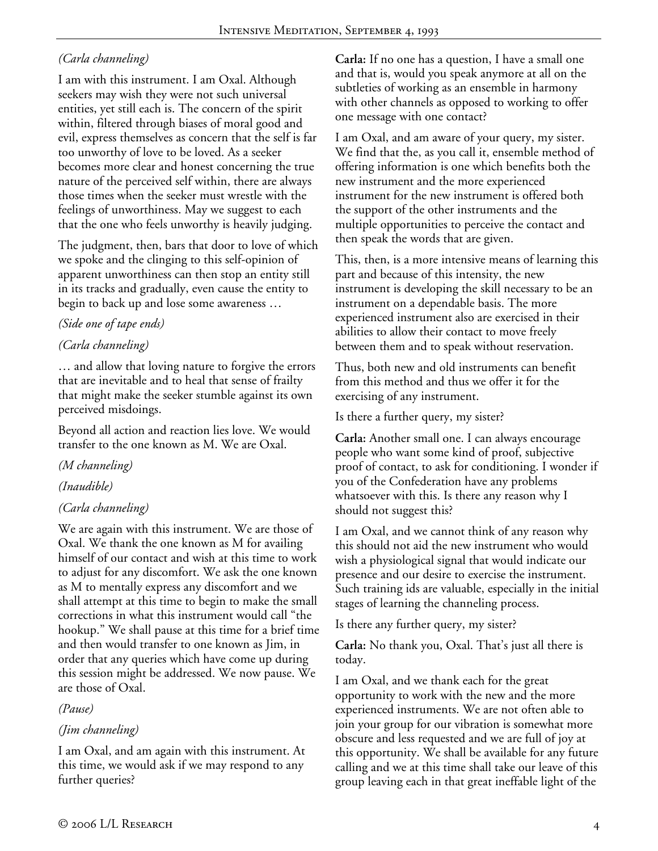# *(Carla channeling)*

I am with this instrument. I am Oxal. Although seekers may wish they were not such universal entities, yet still each is. The concern of the spirit within, filtered through biases of moral good and evil, express themselves as concern that the self is far too unworthy of love to be loved. As a seeker becomes more clear and honest concerning the true nature of the perceived self within, there are always those times when the seeker must wrestle with the feelings of unworthiness. May we suggest to each that the one who feels unworthy is heavily judging.

The judgment, then, bars that door to love of which we spoke and the clinging to this self-opinion of apparent unworthiness can then stop an entity still in its tracks and gradually, even cause the entity to begin to back up and lose some awareness …

## *(Side one of tape ends)*

### *(Carla channeling)*

… and allow that loving nature to forgive the errors that are inevitable and to heal that sense of frailty that might make the seeker stumble against its own perceived misdoings.

Beyond all action and reaction lies love. We would transfer to the one known as M. We are Oxal.

### *(M channeling)*

## *(Inaudible)*

## *(Carla channeling)*

We are again with this instrument. We are those of Oxal. We thank the one known as M for availing himself of our contact and wish at this time to work to adjust for any discomfort. We ask the one known as M to mentally express any discomfort and we shall attempt at this time to begin to make the small corrections in what this instrument would call "the hookup." We shall pause at this time for a brief time and then would transfer to one known as Jim, in order that any queries which have come up during this session might be addressed. We now pause. We are those of Oxal.

*(Pause)* 

### *(Jim channeling)*

I am Oxal, and am again with this instrument. At this time, we would ask if we may respond to any further queries?

**Carla:** If no one has a question, I have a small one and that is, would you speak anymore at all on the subtleties of working as an ensemble in harmony with other channels as opposed to working to offer one message with one contact?

I am Oxal, and am aware of your query, my sister. We find that the, as you call it, ensemble method of offering information is one which benefits both the new instrument and the more experienced instrument for the new instrument is offered both the support of the other instruments and the multiple opportunities to perceive the contact and then speak the words that are given.

This, then, is a more intensive means of learning this part and because of this intensity, the new instrument is developing the skill necessary to be an instrument on a dependable basis. The more experienced instrument also are exercised in their abilities to allow their contact to move freely between them and to speak without reservation.

Thus, both new and old instruments can benefit from this method and thus we offer it for the exercising of any instrument.

Is there a further query, my sister?

**Carla:** Another small one. I can always encourage people who want some kind of proof, subjective proof of contact, to ask for conditioning. I wonder if you of the Confederation have any problems whatsoever with this. Is there any reason why I should not suggest this?

I am Oxal, and we cannot think of any reason why this should not aid the new instrument who would wish a physiological signal that would indicate our presence and our desire to exercise the instrument. Such training ids are valuable, especially in the initial stages of learning the channeling process.

Is there any further query, my sister?

**Carla:** No thank you, Oxal. That's just all there is today.

I am Oxal, and we thank each for the great opportunity to work with the new and the more experienced instruments. We are not often able to join your group for our vibration is somewhat more obscure and less requested and we are full of joy at this opportunity. We shall be available for any future calling and we at this time shall take our leave of this group leaving each in that great ineffable light of the